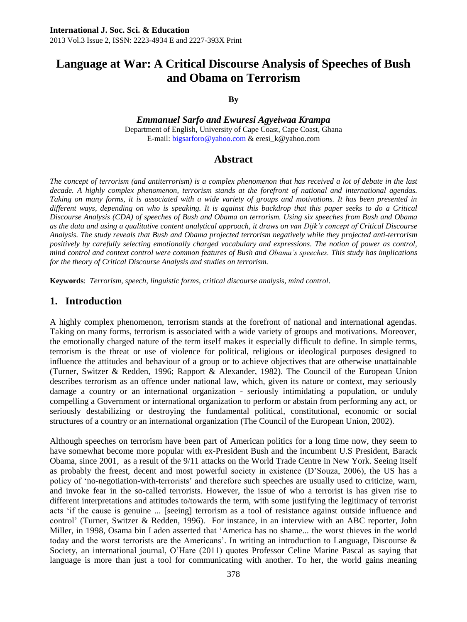# **Language at War: A Critical Discourse Analysis of Speeches of Bush and Obama on Terrorism**

#### **By**

*Emmanuel Sarfo and Ewuresi Agyeiwaa Krampa* Department of English, University of Cape Coast, Cape Coast, Ghana E-mail: [bigsarforo@yahoo.com](mailto:bigsarforo@yahoo.com) & eresi\_k@yahoo.com

### **Abstract**

*The concept of terrorism (and antiterrorism) is a complex phenomenon that has received a lot of debate in the last decade. A highly complex phenomenon, terrorism stands at the forefront of national and international agendas. Taking on many forms, it is associated with a wide variety of groups and motivations. It has been presented in different ways, depending on who is speaking. It is against this backdrop that this paper seeks to do a Critical Discourse Analysis (CDA) of speeches of Bush and Obama on terrorism. Using six speeches from Bush and Obama as the data and using a qualitative content analytical approach, it draws on van Dijk's concept of Critical Discourse Analysis. The study reveals that Bush and Obama projected terrorism negatively while they projected anti-terrorism positively by carefully selecting emotionally charged vocabulary and expressions. The notion of power as control, mind control and context control were common features of Bush and Obama's speeches. This study has implications for the theory of Critical Discourse Analysis and studies on terrorism.*

**Keywords**: *Terrorism, speech, linguistic forms, critical discourse analysis, mind control*.

### **1. Introduction**

A highly complex phenomenon, terrorism stands at the forefront of national and international agendas. Taking on many forms, terrorism is associated with a wide variety of groups and motivations. Moreover, the emotionally charged nature of the term itself makes it especially difficult to define. In simple terms, terrorism is the threat or use of violence for political, religious or ideological purposes designed to influence the attitudes and behaviour of a group or to achieve objectives that are otherwise unattainable (Turner, Switzer & Redden, 1996; Rapport & Alexander, 1982). The Council of the European Union describes terrorism as an offence under national law, which, given its nature or context, may seriously damage a country or an international organization - seriously intimidating a population, or unduly compelling a Government or international organization to perform or abstain from performing any act, or seriously destabilizing or destroying the fundamental political, constitutional, economic or social structures of a country or an international organization (The Council of the European Union, 2002).

Although speeches on terrorism have been part of American politics for a long time now, they seem to have somewhat become more popular with ex-President Bush and the incumbent U.S President, Barack Obama, since 2001, as a result of the 9/11 attacks on the World Trade Centre in New York. Seeing itself as probably the freest, decent and most powerful society in existence (D'Souza, 2006), the US has a policy of ‗no-negotiation-with-terrorists' and therefore such speeches are usually used to criticize, warn, and invoke fear in the so-called terrorists. However, the issue of who a terrorist is has given rise to different interpretations and attitudes to/towards the term, with some justifying the legitimacy of terrorist acts ‗if the cause is genuine ... [seeing] terrorism as a tool of resistance against outside influence and control' (Turner, Switzer & Redden, 1996). For instance, in an interview with an ABC reporter, John Miller, in 1998, Osama bin Laden asserted that 'America has no shame... the worst thieves in the world today and the worst terrorists are the Americans'. In writing an introduction to Language, Discourse & Society, an international journal, O'Hare (2011) quotes Professor Celine Marine Pascal as saying that language is more than just a tool for communicating with another. To her, the world gains meaning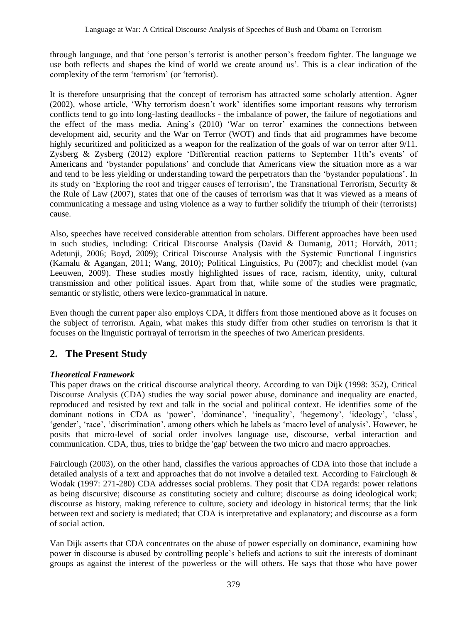through language, and that 'one person's terrorist is another person's freedom fighter. The language we use both reflects and shapes the kind of world we create around us'. This is a clear indication of the complexity of the term 'terrorism' (or 'terrorist).

It is therefore unsurprising that the concept of terrorism has attracted some scholarly attention. Agner (2002), whose article, ‗Why terrorism doesn't work' identifies some important reasons why terrorism conflicts tend to go into long-lasting deadlocks - the imbalance of power, the failure of negotiations and the effect of the mass media. Aning's (2010) 'War on terror' examines the connections between development aid, security and the War on Terror (WOT) and finds that aid programmes have become highly securitized and politicized as a weapon for the realization of the goals of war on terror after 9/11. Zysberg  $\&$  Zysberg (2012) explore 'Differential reaction patterns to September 11th's events' of Americans and ‗bystander populations' and conclude that Americans view the situation more as a war and tend to be less yielding or understanding toward the perpetrators than the 'bystander populations'. In its study on 'Exploring the root and trigger causes of terrorism', the Transnational Terrorism, Security  $\&$ the Rule of Law (2007), states that one of the causes of terrorism was that it was viewed as a means of communicating a message and using violence as a way to further solidify the triumph of their (terrorists) cause.

Also, speeches have received considerable attention from scholars. Different approaches have been used in such studies, including: Critical Discourse Analysis (David & Dumanig, 2011; Horváth, 2011; Adetunji, 2006; Boyd, 2009); Critical Discourse Analysis with the Systemic Functional Linguistics (Kamalu & Agangan, 2011; Wang, 2010); Political Linguistics, Pu (2007); and checklist model (van Leeuwen, 2009). These studies mostly highlighted issues of race, racism, identity, unity, cultural transmission and other political issues. Apart from that, while some of the studies were pragmatic, semantic or stylistic, others were lexico-grammatical in nature.

Even though the current paper also employs CDA, it differs from those mentioned above as it focuses on the subject of terrorism. Again, what makes this study differ from other studies on terrorism is that it focuses on the linguistic portrayal of terrorism in the speeches of two American presidents.

## **2. The Present Study**

#### *Theoretical Framework*

This paper draws on the critical discourse analytical theory. According to van Dijk (1998: 352), Critical Discourse Analysis (CDA) studies the way social power abuse, dominance and inequality are enacted, reproduced and resisted by text and talk in the social and political context. He identifies some of the dominant notions in CDA as 'power', 'dominance', 'inequality', 'hegemony', 'ideology', 'class', ‗gender', ‗race', ‗discrimination', among others which he labels as ‗macro level of analysis'. However, he posits that micro-level of social order involves language use, discourse, verbal interaction and communication. CDA, thus, tries to bridge the 'gap' between the two micro and macro approaches.

Fairclough (2003), on the other hand, classifies the various approaches of CDA into those that include a detailed analysis of a text and approaches that do not involve a detailed text. According to Fairclough  $\&$ Wodak (1997: 271-280) CDA addresses social problems. They posit that CDA regards: power relations as being discursive; discourse as constituting society and culture; discourse as doing ideological work; discourse as history, making reference to culture, society and ideology in historical terms; that the link between text and society is mediated; that CDA is interpretative and explanatory; and discourse as a form of social action.

Van Dijk asserts that CDA concentrates on the abuse of power especially on dominance, examining how power in discourse is abused by controlling people's beliefs and actions to suit the interests of dominant groups as against the interest of the powerless or the will others. He says that those who have power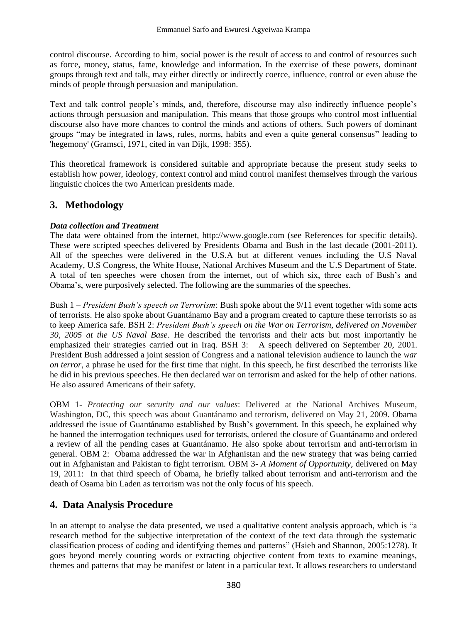control discourse. According to him, social power is the result of access to and control of resources such as force, money, status, fame, knowledge and information. In the exercise of these powers, dominant groups through text and talk, may either directly or indirectly coerce, influence, control or even abuse the minds of people through persuasion and manipulation.

Text and talk control people's minds, and, therefore, discourse may also indirectly influence people's actions through persuasion and manipulation. This means that those groups who control most influential discourse also have more chances to control the minds and actions of others. Such powers of dominant groups "may be integrated in laws, rules, norms, habits and even a quite general consensus" leading to 'hegemony' (Gramsci, 1971, cited in van Dijk, 1998: 355).

This theoretical framework is considered suitable and appropriate because the present study seeks to establish how power, ideology, context control and mind control manifest themselves through the various linguistic choices the two American presidents made.

## **3. Methodology**

### *Data collection and Treatment*

The data were obtained from the internet, [http://www.google.com](http://www.google.com/) (see References for specific details). These were scripted speeches delivered by Presidents Obama and Bush in the last decade (2001-2011). All of the speeches were delivered in the U.S.A but at different venues including the U.S Naval Academy, U.S Congress, the White House, National Archives Museum and the U.S Department of State. A total of ten speeches were chosen from the internet, out of which six, three each of Bush's and Obama's, were purposively selected. The following are the summaries of the speeches.

Bush 1 – *President Bush's speech on Terrorism*: Bush spoke about the 9/11 event together with some acts of terrorists. He also spoke about Guantánamo Bay and a program created to capture these terrorists so as to keep America safe. BSH 2: *President Bush's speech on the War on Terrorism, delivered on November 30, 2005 at the US Naval Base*. He described the terrorists and their acts but most importantly he emphasized their strategies carried out in Iraq. BSH 3: A speech delivered on September 20, 2001. President Bush addressed a joint session of Congress and a national television audience to launch the *war on terror*, a phrase he used for the first time that night. In this speech, he first described the terrorists like he did in his previous speeches. He then declared war on terrorism and asked for the help of other nations. He also assured Americans of their safety.

OBM 1- *Protecting our security and our values*: Delivered at the National Archives Museum, Washington, DC, this speech was about Guantánamo and terrorism, delivered on May 21, 2009. Obama addressed the issue of Guantánamo established by Bush's government. In this speech, he explained why he banned the interrogation techniques used for terrorists, ordered the closure of Guantánamo and ordered a review of all the pending cases at Guantánamo. He also spoke about terrorism and anti-terrorism in general. OBM 2: Obama addressed the war in Afghanistan and the new strategy that was being carried out in Afghanistan and Pakistan to fight terrorism. OBM 3- *A Moment of Opportunity*, delivered on May 19, 2011: In that third speech of Obama, he briefly talked about terrorism and anti-terrorism and the death of Osama bin Laden as terrorism was not the only focus of his speech.

## **4. Data Analysis Procedure**

In an attempt to analyse the data presented, we used a qualitative content analysis approach, which is "a research method for the subjective interpretation of the context of the text data through the systematic classification process of coding and identifying themes and patterns‖ (Hsieh and Shannon, 2005:1278). It goes beyond merely counting words or extracting objective content from texts to examine meanings, themes and patterns that may be manifest or latent in a particular text. It allows researchers to understand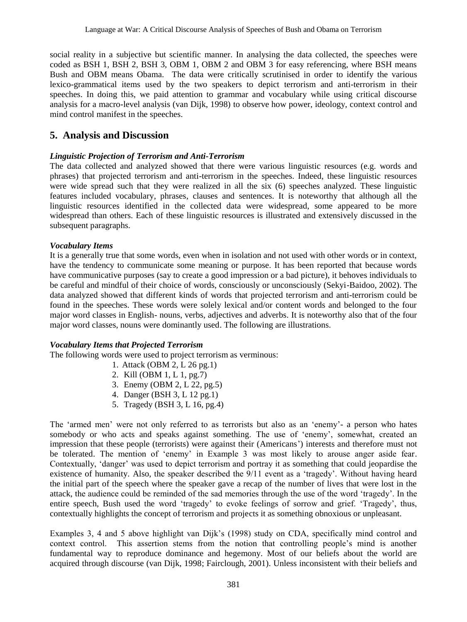social reality in a subjective but scientific manner. In analysing the data collected, the speeches were coded as BSH 1, BSH 2, BSH 3, OBM 1, OBM 2 and OBM 3 for easy referencing, where BSH means Bush and OBM means Obama. The data were critically scrutinised in order to identify the various lexico-grammatical items used by the two speakers to depict terrorism and anti-terrorism in their speeches. In doing this, we paid attention to grammar and vocabulary while using critical discourse analysis for a macro-level analysis (van Dijk, 1998) to observe how power, ideology, context control and mind control manifest in the speeches.

## **5. Analysis and Discussion**

#### *Linguistic Projection of Terrorism and Anti-Terrorism*

The data collected and analyzed showed that there were various linguistic resources (e.g. words and phrases) that projected terrorism and anti-terrorism in the speeches. Indeed, these linguistic resources were wide spread such that they were realized in all the six (6) speeches analyzed. These linguistic features included vocabulary, phrases, clauses and sentences. It is noteworthy that although all the linguistic resources identified in the collected data were widespread, some appeared to be more widespread than others. Each of these linguistic resources is illustrated and extensively discussed in the subsequent paragraphs.

#### *Vocabulary Items*

It is a generally true that some words, even when in isolation and not used with other words or in context, have the tendency to communicate some meaning or purpose. It has been reported that because words have communicative purposes (say to create a good impression or a bad picture), it behoves individuals to be careful and mindful of their choice of words, consciously or unconsciously (Sekyi-Baidoo, 2002). The data analyzed showed that different kinds of words that projected terrorism and anti-terrorism could be found in the speeches. These words were solely lexical and/or content words and belonged to the four major word classes in English- nouns, verbs, adjectives and adverbs. It is noteworthy also that of the four major word classes, nouns were dominantly used. The following are illustrations.

#### *Vocabulary Items that Projected Terrorism*

The following words were used to project terrorism as verminous:

- 1. Attack (OBM 2, L 26 pg.1)
- 2. Kill (OBM 1, L 1, pg.7)
- 3. Enemy (OBM 2, L 22, pg.5)
- 4. Danger (BSH 3, L 12 pg.1)
- 5. Tragedy (BSH 3, L 16, pg.4)

The 'armed men' were not only referred to as terrorists but also as an 'enemy'- a person who hates somebody or who acts and speaks against something. The use of 'enemy', somewhat, created an impression that these people (terrorists) were against their (Americans') interests and therefore must not be tolerated. The mention of 'enemy' in Example 3 was most likely to arouse anger aside fear. Contextually, ‗danger' was used to depict terrorism and portray it as something that could jeopardise the existence of humanity. Also, the speaker described the  $9/11$  event as a 'tragedy'. Without having heard the initial part of the speech where the speaker gave a recap of the number of lives that were lost in the attack, the audience could be reminded of the sad memories through the use of the word 'tragedy'. In the entire speech, Bush used the word 'tragedy' to evoke feelings of sorrow and grief. 'Tragedy', thus, contextually highlights the concept of terrorism and projects it as something obnoxious or unpleasant.

Examples 3, 4 and 5 above highlight van Dijk's (1998) study on CDA, specifically mind control and context control. This assertion stems from the notion that controlling people's mind is another fundamental way to reproduce dominance and hegemony. Most of our beliefs about the world are acquired through discourse (van Dijk, 1998; Fairclough, 2001). Unless inconsistent with their beliefs and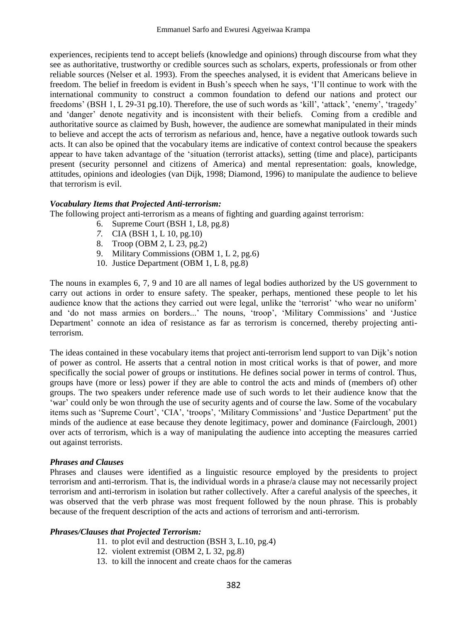experiences, recipients tend to accept beliefs (knowledge and opinions) through discourse from what they see as authoritative, trustworthy or credible sources such as scholars, experts, professionals or from other reliable sources (Nelser et al. 1993). From the speeches analysed, it is evident that Americans believe in freedom. The belief in freedom is evident in Bush's speech when he says, 'I'll continue to work with the international community to construct a common foundation to defend our nations and protect our freedoms' (BSH 1, L 29-31 pg.10). Therefore, the use of such words as 'kill', 'attack', 'enemy', 'tragedy' and ‗danger' denote negativity and is inconsistent with their beliefs. Coming from a credible and authoritative source as claimed by Bush, however, the audience are somewhat manipulated in their minds to believe and accept the acts of terrorism as nefarious and, hence, have a negative outlook towards such acts. It can also be opined that the vocabulary items are indicative of context control because the speakers appear to have taken advantage of the 'situation (terrorist attacks), setting (time and place), participants present (security personnel and citizens of America) and mental representation: goals, knowledge, attitudes, opinions and ideologies (van Dijk, 1998; Diamond, 1996) to manipulate the audience to believe that terrorism is evil.

#### *Vocabulary Items that Projected Anti-terrorism:*

The following project anti-terrorism as a means of fighting and guarding against terrorism:

- 6. Supreme Court (BSH 1, L8, pg.8)
- *7.* CIA (BSH 1, L 10, pg.10)
- 8. Troop (OBM 2, L 23, pg.2)
- 9. Military Commissions (OBM 1, L 2, pg.6)
- 10. Justice Department (OBM 1, L 8, pg.8)

The nouns in examples 6, 7, 9 and 10 are all names of legal bodies authorized by the US government to carry out actions in order to ensure safety. The speaker, perhaps, mentioned these people to let his audience know that the actions they carried out were legal, unlike the 'terrorist' 'who wear no uniform' and 'do not mass armies on borders...' The nouns, 'troop', 'Military Commissions' and 'Justice Department' connote an idea of resistance as far as terrorism is concerned, thereby projecting antiterrorism.

The ideas contained in these vocabulary items that project anti-terrorism lend support to van Dijk's notion of power as control. He asserts that a central notion in most critical works is that of power, and more specifically the social power of groups or institutions. He defines social power in terms of control. Thus, groups have (more or less) power if they are able to control the acts and minds of (members of) other groups. The two speakers under reference made use of such words to let their audience know that the ‗war' could only be won through the use of security agents and of course the law. Some of the vocabulary items such as 'Supreme Court', 'CIA', 'troops', 'Military Commissions' and 'Justice Department' put the minds of the audience at ease because they denote legitimacy, power and dominance (Fairclough, 2001) over acts of terrorism, which is a way of manipulating the audience into accepting the measures carried out against terrorists.

#### *Phrases and Clauses*

Phrases and clauses were identified as a linguistic resource employed by the presidents to project terrorism and anti-terrorism. That is, the individual words in a phrase/a clause may not necessarily project terrorism and anti-terrorism in isolation but rather collectively. After a careful analysis of the speeches, it was observed that the verb phrase was most frequent followed by the noun phrase. This is probably because of the frequent description of the acts and actions of terrorism and anti-terrorism.

#### *Phrases/Clauses that Projected Terrorism:*

- 11. to plot evil and destruction (BSH 3, L.10, pg.4)
- 12. violent extremist (OBM 2, L 32, pg.8)
- 13. to kill the innocent and create chaos for the cameras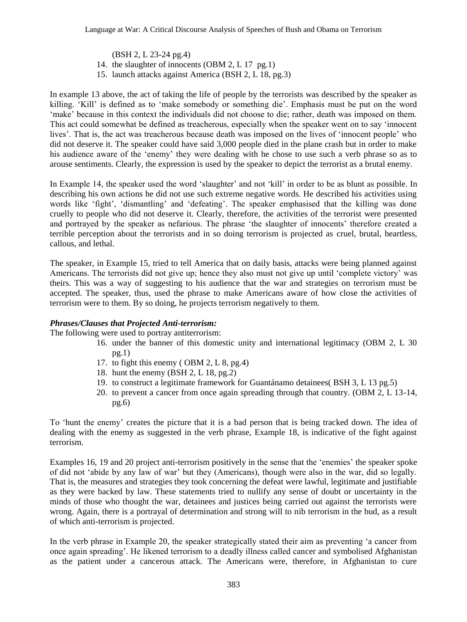(BSH 2, L 23-24 pg.4)

- 14. the slaughter of innocents (OBM 2, L 17 pg.1)
- 15. launch attacks against America (BSH 2, L 18, pg.3)

In example 13 above, the act of taking the life of people by the terrorists was described by the speaker as killing. 'Kill' is defined as to 'make somebody or something die'. Emphasis must be put on the word ‗make' because in this context the individuals did not choose to die; rather, death was imposed on them. This act could somewhat be defined as treacherous, especially when the speaker went on to say 'innocent lives'. That is, the act was treacherous because death was imposed on the lives of ‗innocent people' who did not deserve it. The speaker could have said 3,000 people died in the plane crash but in order to make his audience aware of the 'enemy' they were dealing with he chose to use such a verb phrase so as to arouse sentiments. Clearly, the expression is used by the speaker to depict the terrorist as a brutal enemy.

In Example 14, the speaker used the word 'slaughter' and not 'kill' in order to be as blunt as possible. In describing his own actions he did not use such extreme negative words. He described his activities using words like 'fight', 'dismantling' and 'defeating'. The speaker emphasised that the killing was done cruelly to people who did not deserve it. Clearly, therefore, the activities of the terrorist were presented and portrayed by the speaker as nefarious. The phrase 'the slaughter of innocents' therefore created a terrible perception about the terrorists and in so doing terrorism is projected as cruel, brutal, heartless, callous, and lethal.

The speaker, in Example 15, tried to tell America that on daily basis, attacks were being planned against Americans. The terrorists did not give up; hence they also must not give up until 'complete victory' was theirs. This was a way of suggesting to his audience that the war and strategies on terrorism must be accepted. The speaker, thus, used the phrase to make Americans aware of how close the activities of terrorism were to them. By so doing, he projects terrorism negatively to them.

#### *Phrases/Clauses that Projected Anti-terrorism:*

The following were used to portray antiterrorism:

- 16. under the banner of this domestic unity and international legitimacy (OBM 2, L 30 pg.1)
- 17. to fight this enemy ( OBM 2, L 8, pg.4)
- 18. hunt the enemy (BSH 2, L 18, pg.2)
- 19. to construct a legitimate framework for Guantánamo detainees( BSH 3, L 13 pg.5)
- 20. to prevent a cancer from once again spreading through that country. (OBM 2, L 13-14, pg.6)

To ‗hunt the enemy' creates the picture that it is a bad person that is being tracked down. The idea of dealing with the enemy as suggested in the verb phrase, Example 18, is indicative of the fight against terrorism.

Examples 16, 19 and 20 project anti-terrorism positively in the sense that the 'enemies' the speaker spoke of did not ‗abide by any law of war' but they (Americans), though were also in the war, did so legally. That is, the measures and strategies they took concerning the defeat were lawful, legitimate and justifiable as they were backed by law. These statements tried to nullify any sense of doubt or uncertainty in the minds of those who thought the war, detainees and justices being carried out against the terrorists were wrong. Again, there is a portrayal of determination and strong will to nib terrorism in the bud, as a result of which anti-terrorism is projected.

In the verb phrase in Example 20, the speaker strategically stated their aim as preventing 'a cancer from once again spreading'. He likened terrorism to a deadly illness called cancer and symbolised Afghanistan as the patient under a cancerous attack. The Americans were, therefore, in Afghanistan to cure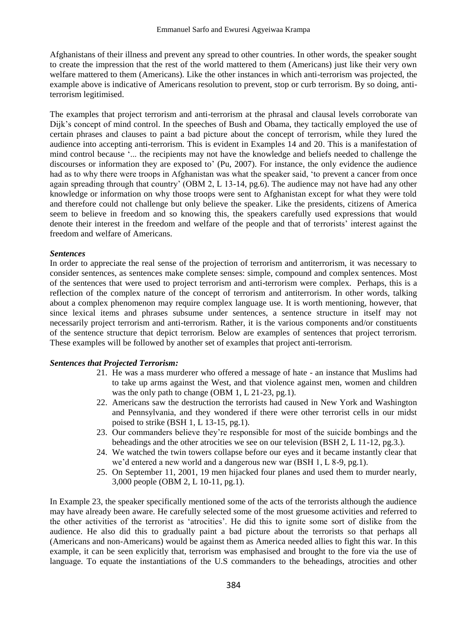Afghanistans of their illness and prevent any spread to other countries. In other words, the speaker sought to create the impression that the rest of the world mattered to them (Americans) just like their very own welfare mattered to them (Americans). Like the other instances in which anti-terrorism was projected, the example above is indicative of Americans resolution to prevent, stop or curb terrorism. By so doing, antiterrorism legitimised.

The examples that project terrorism and anti-terrorism at the phrasal and clausal levels corroborate van Dijk's concept of mind control. In the speeches of Bush and Obama, they tactically employed the use of certain phrases and clauses to paint a bad picture about the concept of terrorism, while they lured the audience into accepting anti-terrorism. This is evident in Examples 14 and 20. This is a manifestation of mind control because ‗... the recipients may not have the knowledge and beliefs needed to challenge the discourses or information they are exposed to' (Pu, 2007). For instance, the only evidence the audience had as to why there were troops in Afghanistan was what the speaker said, 'to prevent a cancer from once again spreading through that country' (OBM 2, L 13-14, pg.6). The audience may not have had any other knowledge or information on why those troops were sent to Afghanistan except for what they were told and therefore could not challenge but only believe the speaker. Like the presidents, citizens of America seem to believe in freedom and so knowing this, the speakers carefully used expressions that would denote their interest in the freedom and welfare of the people and that of terrorists' interest against the freedom and welfare of Americans.

#### *Sentences*

In order to appreciate the real sense of the projection of terrorism and antiterrorism, it was necessary to consider sentences, as sentences make complete senses: simple, compound and complex sentences. Most of the sentences that were used to project terrorism and anti-terrorism were complex. Perhaps, this is a reflection of the complex nature of the concept of terrorism and antiterrorism. In other words, talking about a complex phenomenon may require complex language use. It is worth mentioning, however, that since lexical items and phrases subsume under sentences, a sentence structure in itself may not necessarily project terrorism and anti-terrorism. Rather, it is the various components and/or constituents of the sentence structure that depict terrorism. Below are examples of sentences that project terrorism. These examples will be followed by another set of examples that project anti-terrorism.

#### *Sentences that Projected Terrorism:*

- 21. He was a mass murderer who offered a message of hate an instance that Muslims had to take up arms against the West, and that violence against men, women and children was the only path to change (OBM 1, L 21-23, pg.1).
- 22. Americans saw the destruction the terrorists had caused in New York and Washington and Pennsylvania, and they wondered if there were other terrorist cells in our midst poised to strike (BSH 1, L 13-15, pg.1).
- 23. Our commanders believe they're responsible for most of the suicide bombings and the beheadings and the other atrocities we see on our television (BSH 2, L 11-12, pg.3.).
- 24. We watched the twin towers collapse before our eyes and it became instantly clear that we'd entered a new world and a dangerous new war (BSH 1, L 8-9, pg.1).
- 25. On September 11, 2001, 19 men hijacked four planes and used them to murder nearly, 3,000 people (OBM 2, L 10-11, pg.1).

In Example 23, the speaker specifically mentioned some of the acts of the terrorists although the audience may have already been aware. He carefully selected some of the most gruesome activities and referred to the other activities of the terrorist as 'atrocities'. He did this to ignite some sort of dislike from the audience. He also did this to gradually paint a bad picture about the terrorists so that perhaps all (Americans and non-Americans) would be against them as America needed allies to fight this war. In this example, it can be seen explicitly that, terrorism was emphasised and brought to the fore via the use of language. To equate the instantiations of the U.S commanders to the beheadings, atrocities and other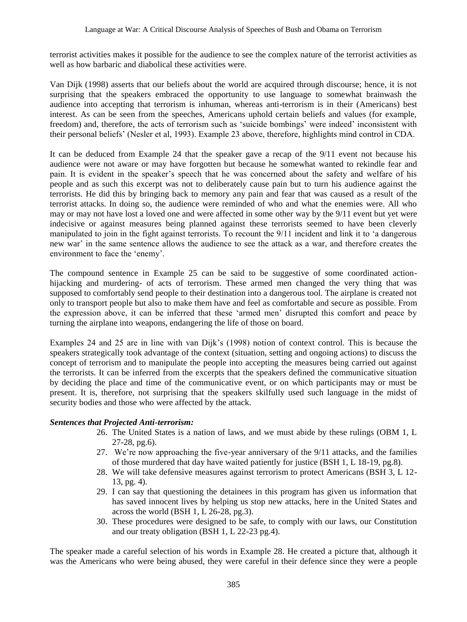terrorist activities makes it possible for the audience to see the complex nature of the terrorist activities as well as how barbaric and diabolical these activities were.

Van Dijk (1998) asserts that our beliefs about the world are acquired through discourse; hence, it is not surprising that the speakers embraced the opportunity to use language to somewhat brainwash the audience into accepting that terrorism is inhuman, whereas anti-terrorism is in their (Americans) best interest. As can be seen from the speeches, Americans uphold certain beliefs and values (for example, freedom) and, therefore, the acts of terrorism such as 'suicide bombings' were indeed' inconsistent with their personal beliefs' (Nesler et al, 1993). Example 23 above, therefore, highlights mind control in CDA.

It can be deduced from Example 24 that the speaker gave a recap of the 9/11 event not because his audience were not aware or may have forgotten but because he somewhat wanted to rekindle fear and pain. It is evident in the speaker's speech that he was concerned about the safety and welfare of his people and as such this excerpt was not to deliberately cause pain but to turn his audience against the terrorists. He did this by bringing back to memory any pain and fear that was caused as a result of the terrorist attacks. In doing so, the audience were reminded of who and what the enemies were. All who may or may not have lost a loved one and were affected in some other way by the 9/11 event but yet were indecisive or against measures being planned against these terrorists seemed to have been cleverly manipulated to join in the fight against terrorists. To recount the 9/11 incident and link it to 'a dangerous new war' in the same sentence allows the audience to see the attack as a war, and therefore creates the environment to face the 'enemy'.

The compound sentence in Example 25 can be said to be suggestive of some coordinated actionhijacking and murdering- of acts of terrorism. These armed men changed the very thing that was supposed to comfortably send people to their destination into a dangerous tool. The airplane is created not only to transport people but also to make them have and feel as comfortable and secure as possible. From the expression above, it can be inferred that these 'armed men' disrupted this comfort and peace by turning the airplane into weapons, endangering the life of those on board.

Examples 24 and 25 are in line with van Dijk's (1998) notion of context control. This is because the speakers strategically took advantage of the context (situation, setting and ongoing actions) to discuss the concept of terrorism and to manipulate the people into accepting the measures being carried out against the terrorists. It can be inferred from the excerpts that the speakers defined the communicative situation by deciding the place and time of the communicative event, or on which participants may or must be present. It is, therefore, not surprising that the speakers skilfully used such language in the midst of security bodies and those who were affected by the attack.

### *Sentences that Projected Anti-terrorism:*

- 26. The United States is a nation of laws, and we must abide by these rulings (OBM 1, L 27-28, pg.6).
- 27. We're now approaching the five-year anniversary of the 9/11 attacks, and the families of those murdered that day have waited patiently for justice (BSH 1, L 18-19, pg.8).
- 28. We will take defensive measures against terrorism to protect Americans (BSH 3, L 12- 13, pg. 4).
- 29. I can say that questioning the detainees in this program has given us information that has saved innocent lives by helping us stop new attacks, here in the United States and across the world (BSH 1, L 26-28, pg.3).
- 30. These procedures were designed to be safe, to comply with our laws, our Constitution and our treaty obligation (BSH 1, L 22-23 pg.4).

The speaker made a careful selection of his words in Example 28. He created a picture that, although it was the Americans who were being abused, they were careful in their defence since they were a people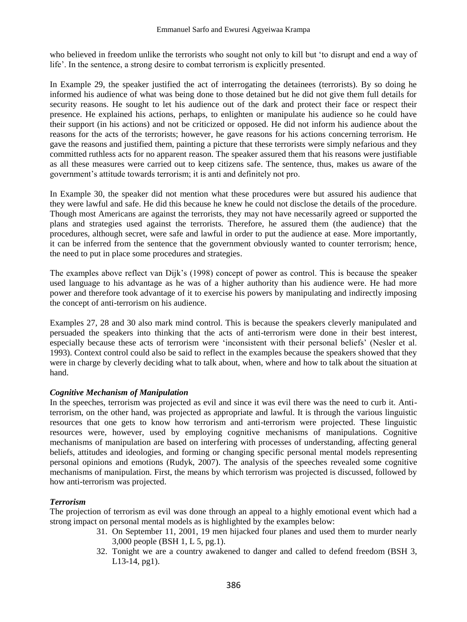who believed in freedom unlike the terrorists who sought not only to kill but 'to disrupt and end a way of life'. In the sentence, a strong desire to combat terrorism is explicitly presented.

In Example 29, the speaker justified the act of interrogating the detainees (terrorists). By so doing he informed his audience of what was being done to those detained but he did not give them full details for security reasons. He sought to let his audience out of the dark and protect their face or respect their presence. He explained his actions, perhaps, to enlighten or manipulate his audience so he could have their support (in his actions) and not be criticized or opposed. He did not inform his audience about the reasons for the acts of the terrorists; however, he gave reasons for his actions concerning terrorism. He gave the reasons and justified them, painting a picture that these terrorists were simply nefarious and they committed ruthless acts for no apparent reason. The speaker assured them that his reasons were justifiable as all these measures were carried out to keep citizens safe. The sentence, thus, makes us aware of the government's attitude towards terrorism; it is anti and definitely not pro.

In Example 30, the speaker did not mention what these procedures were but assured his audience that they were lawful and safe. He did this because he knew he could not disclose the details of the procedure. Though most Americans are against the terrorists, they may not have necessarily agreed or supported the plans and strategies used against the terrorists. Therefore, he assured them (the audience) that the procedures, although secret, were safe and lawful in order to put the audience at ease. More importantly, it can be inferred from the sentence that the government obviously wanted to counter terrorism; hence, the need to put in place some procedures and strategies.

The examples above reflect van Dijk's (1998) concept of power as control. This is because the speaker used language to his advantage as he was of a higher authority than his audience were. He had more power and therefore took advantage of it to exercise his powers by manipulating and indirectly imposing the concept of anti-terrorism on his audience.

Examples 27, 28 and 30 also mark mind control. This is because the speakers cleverly manipulated and persuaded the speakers into thinking that the acts of anti-terrorism were done in their best interest, especially because these acts of terrorism were 'inconsistent with their personal beliefs' (Nesler et al. 1993). Context control could also be said to reflect in the examples because the speakers showed that they were in charge by cleverly deciding what to talk about, when, where and how to talk about the situation at hand.

#### *Cognitive Mechanism of Manipulation*

In the speeches, terrorism was projected as evil and since it was evil there was the need to curb it. Antiterrorism, on the other hand, was projected as appropriate and lawful. It is through the various linguistic resources that one gets to know how terrorism and anti-terrorism were projected. These linguistic resources were, however, used by employing cognitive mechanisms of manipulations. Cognitive mechanisms of manipulation are based on interfering with processes of understanding, affecting general beliefs, attitudes and ideologies, and forming or changing specific personal mental models representing personal opinions and emotions (Rudyk, 2007). The analysis of the speeches revealed some cognitive mechanisms of manipulation. First, the means by which terrorism was projected is discussed, followed by how anti-terrorism was projected.

### *Terrorism*

The projection of terrorism as evil was done through an appeal to a highly emotional event which had a strong impact on personal mental models as is highlighted by the examples below:

- 31. On September 11, 2001, 19 men hijacked four planes and used them to murder nearly 3,000 people (BSH 1, L 5, pg.1).
- 32. Tonight we are a country awakened to danger and called to defend freedom (BSH 3, L13-14, pg1).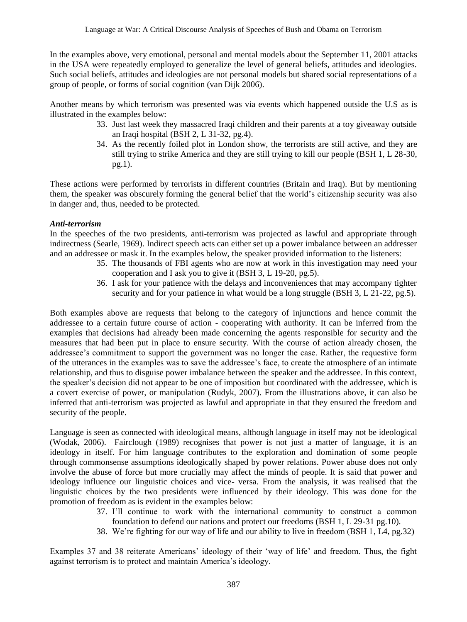In the examples above, very emotional, personal and mental models about the September 11, 2001 attacks in the USA were repeatedly employed to generalize the level of general beliefs, attitudes and ideologies. Such social beliefs, attitudes and ideologies are not personal models but shared social representations of a group of people, or forms of social cognition (van Dijk 2006).

Another means by which terrorism was presented was via events which happened outside the U.S as is illustrated in the examples below:

- 33. Just last week they massacred Iraqi children and their parents at a toy giveaway outside an Iraqi hospital (BSH 2, L 31-32, pg.4).
- 34. As the recently foiled plot in London show, the terrorists are still active, and they are still trying to strike America and they are still trying to kill our people (BSH 1, L 28-30, pg.1).

These actions were performed by terrorists in different countries (Britain and Iraq). But by mentioning them, the speaker was obscurely forming the general belief that the world's citizenship security was also in danger and, thus, needed to be protected.

#### *Anti-terrorism*

In the speeches of the two presidents, anti-terrorism was projected as lawful and appropriate through indirectness (Searle, 1969). Indirect speech acts can either set up a power imbalance between an addresser and an addressee or mask it. In the examples below, the speaker provided information to the listeners:

- 35. The thousands of FBI agents who are now at work in this investigation may need your cooperation and I ask you to give it (BSH 3, L 19-20, pg.5).
- 36. I ask for your patience with the delays and inconveniences that may accompany tighter security and for your patience in what would be a long struggle (BSH 3, L 21-22, pg.5).

Both examples above are requests that belong to the category of injunctions and hence commit the addressee to a certain future course of action - cooperating with authority. It can be inferred from the examples that decisions had already been made concerning the agents responsible for security and the measures that had been put in place to ensure security. With the course of action already chosen, the addressee's commitment to support the government was no longer the case. Rather, the requestive form of the utterances in the examples was to save the addressee's face, to create the atmosphere of an intimate relationship, and thus to disguise power imbalance between the speaker and the addressee. In this context, the speaker's decision did not appear to be one of imposition but coordinated with the addressee, which is a covert exercise of power, or manipulation (Rudyk, 2007). From the illustrations above, it can also be inferred that anti-terrorism was projected as lawful and appropriate in that they ensured the freedom and security of the people.

Language is seen as connected with ideological means, although language in itself may not be ideological (Wodak, 2006). Fairclough (1989) recognises that power is not just a matter of language, it is an ideology in itself. For him language contributes to the exploration and domination of some people through commonsense assumptions ideologically shaped by power relations. Power abuse does not only involve the abuse of force but more crucially may affect the minds of people. It is said that power and ideology influence our linguistic choices and vice- versa. From the analysis, it was realised that the linguistic choices by the two presidents were influenced by their ideology. This was done for the promotion of freedom as is evident in the examples below:

- 37. I'll continue to work with the international community to construct a common foundation to defend our nations and protect our freedoms (BSH 1, L 29-31 pg.10).
- 38. We're fighting for our way of life and our ability to live in freedom (BSH 1, L4, pg.32)

Examples 37 and 38 reiterate Americans' ideology of their 'way of life' and freedom. Thus, the fight against terrorism is to protect and maintain America's ideology.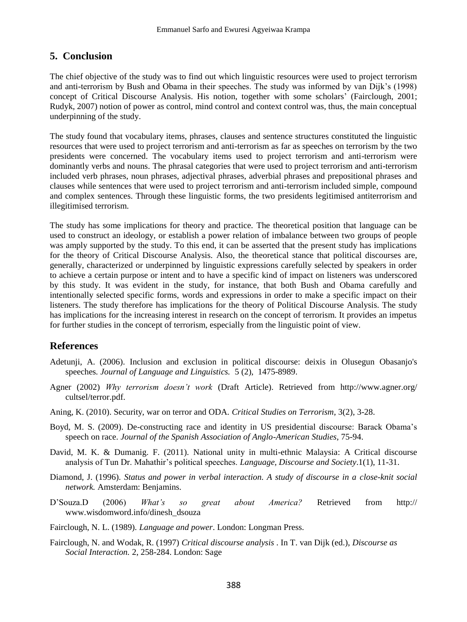## **5. Conclusion**

The chief objective of the study was to find out which linguistic resources were used to project terrorism and anti-terrorism by Bush and Obama in their speeches. The study was informed by van Dijk's (1998) concept of Critical Discourse Analysis. His notion, together with some scholars' (Fairclough, 2001; Rudyk, 2007) notion of power as control, mind control and context control was, thus, the main conceptual underpinning of the study.

The study found that vocabulary items, phrases, clauses and sentence structures constituted the linguistic resources that were used to project terrorism and anti-terrorism as far as speeches on terrorism by the two presidents were concerned. The vocabulary items used to project terrorism and anti-terrorism were dominantly verbs and nouns. The phrasal categories that were used to project terrorism and anti-terrorism included verb phrases, noun phrases, adjectival phrases, adverbial phrases and prepositional phrases and clauses while sentences that were used to project terrorism and anti-terrorism included simple, compound and complex sentences. Through these linguistic forms, the two presidents legitimised antiterrorism and illegitimised terrorism.

The study has some implications for theory and practice. The theoretical position that language can be used to construct an ideology, or establish a power relation of imbalance between two groups of people was amply supported by the study. To this end, it can be asserted that the present study has implications for the theory of Critical Discourse Analysis. Also, the theoretical stance that political discourses are, generally, characterized or underpinned by linguistic expressions carefully selected by speakers in order to achieve a certain purpose or intent and to have a specific kind of impact on listeners was underscored by this study. It was evident in the study, for instance, that both Bush and Obama carefully and intentionally selected specific forms, words and expressions in order to make a specific impact on their listeners. The study therefore has implications for the theory of Political Discourse Analysis. The study has implications for the increasing interest in research on the concept of terrorism. It provides an impetus for further studies in the concept of terrorism, especially from the linguistic point of view.

## **References**

- Adetunji, A. (2006). Inclusion and exclusion in political discourse: deixis in Olusegun Obasanjo's speeches*. Journal of Language and Linguistics.* 5 (2), 1475-8989.
- Agner (2002) *Why terrorism doesn't work* (Draft Article). Retrieved from http:/[/www.agner.org/](http://www.agner.org/) cultsel/terror.pdf.
- Aning, K. (2010). Security, war on terror and ODA. *Critical Studies on Terrorism*, 3(2), 3-28.
- Boyd, M. S. (2009). De-constructing race and identity in US presidential discourse: Barack Obama's speech on race. *Journal of the Spanish Association of Anglo-American Studies*, 75-94.
- David, M. K. & Dumanig. F. (2011). National unity in multi-ethnic Malaysia: A Critical discourse analysis of Tun Dr. Mahathir's political speeches. *Language, Discourse and Society*.1(1), 11-31.
- Diamond, J. (1996). *Status and power in verbal interaction. A study of discourse in a close-knit social network.* Amsterdam: Benjamins.
- D'Souza.D (2006) *What's so great about America?* Retrieved from http:// www.wisdomword.info/dinesh\_dsouza
- Fairclough, N. L. (1989). *Language and power*. London: Longman Press.
- Fairclough, N. and Wodak, R. (1997) *Critical discourse analysis* . In T. van Dijk (ed.), *Discourse as Social Interaction.* 2, 258-284. London: Sage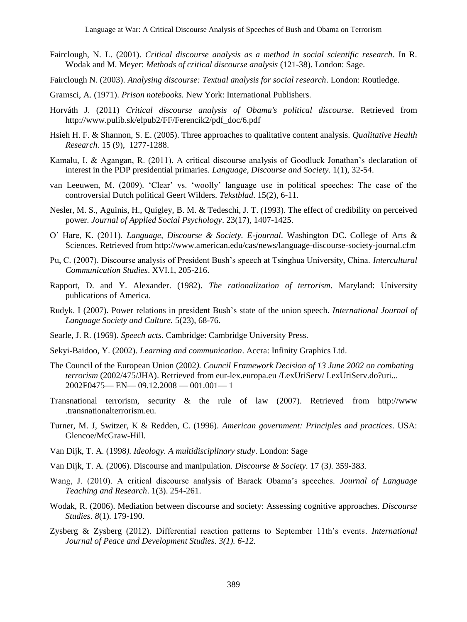- Fairclough, N. L. (2001). *Critical discourse analysis as a method in social scientific research*. In R. Wodak and M. Meyer: *Methods of critical discourse analysis* (121-38). London: Sage.
- Fairclough N. (2003). *Analysing discourse: Textual analysis for social research*. London: Routledge.
- Gramsci, A. (1971). *Prison notebooks.* New York: International Publishers.
- Horváth J. (2011) *Critical discourse analysis of Obama's political discourse*. Retrieved from http://www.pulib.sk/elpub2/FF/Ferencik2/pdf\_doc/6.pdf
- Hsieh H. F. & Shannon, S. E. (2005). Three approaches to qualitative content analysis. *Qualitative Health Research*. 15 (9), 1277-1288.
- Kamalu, I. & Agangan, R. (2011). A critical discourse analysis of Goodluck Jonathan's declaration of interest in the PDP presidential primaries. *Language, Discourse and Society.* 1(1), 32-54.
- van Leeuwen, M. (2009). ‗Clear' vs. ‗woolly' language use in political speeches: The case of the controversial Dutch political Geert Wilders. *Tekstblad*. 15(2), 6-11.
- Nesler, M. S., Aguinis, H., Quigley, B. M. & Tedeschi, J. T. (1993). The effect of credibility on perceived power. *Journal of Applied Social Psychology*. 23(17), 1407-1425.
- O' Hare, K. (2011). *Language, Discourse & Society. E-journal*. Washington DC. College of Arts & Sciences. Retrieved from http://www.american.edu/cas/news/language-discourse-society-journal.cfm
- Pu, C. (2007). Discourse analysis of President Bush's speech at Tsinghua University, China. *Intercultural Communication Studies*. XVI.1, 205-216.
- Rapport, D. and Y. Alexander. (1982). *The rationalization of terrorism*. Maryland: University publications of America.
- Rudyk. I (2007). Power relations in president Bush's state of the union speech. *International Journal of Language Society and Culture.* 5(23), 68-76.
- Searle, J. R. (1969). *Speech acts*. Cambridge: Cambridge University Press.
- Sekyi-Baidoo, Y. (2002). *Learning and communication*. Accra: Infinity Graphics Ltd.
- The Council of the European Union (2002*). Council Framework Decision of 13 June 2002 on combating terrorism* (2002/475/JHA). Retrieved from eur-lex.europa.eu /LexUriServ/ LexUriServ.do?uri... 2002F0475— EN— 09.12.2008 — 001.001— 1
- Transnational terrorism, security & the rule of law (2007). Retrieved from [http://www](http://www/) .transnationalterrorism.eu.
- Turner, M. J, Switzer, K & Redden, C. (1996). *American government: Principles and practices*. USA: Glencoe/McGraw-Hill.
- Van Dijk, T. A. (1998*). Ideology. A multidisciplinary study*. London: Sage
- Van Dijk, T. A. (2006). Discourse and manipulation. *Discourse & Society.* 17 (3*).* 359-383*.*
- Wang, J. (2010). A critical discourse analysis of Barack Obama's speeches. *Journal of Language Teaching and Research*. 1(3). 254-261.
- Wodak, R. (2006). Mediation between discourse and society: Assessing cognitive approaches. *Discourse Studies*. *8*(1). 179-190.
- Zysberg & Zysberg (2012). Differential reaction patterns to September 11th's events. *International Journal of Peace and Development Studies. 3(1). 6-12.*